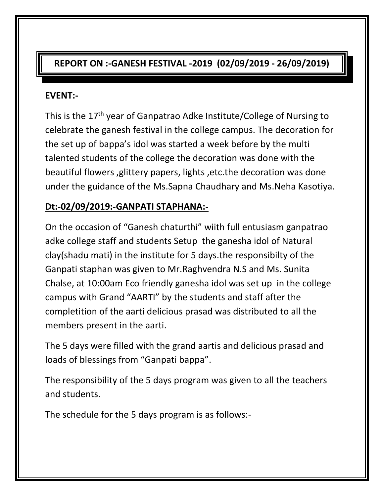# **REPORT ON :-GANESH FESTIVAL -2019 (02/09/2019 - 26/09/2019)**

### **EVENT:-**

This is the 17th year of Ganpatrao Adke Institute/College of Nursing to celebrate the ganesh festival in the college campus. The decoration for the set up of bappa's idol was started a week before by the multi talented students of the college the decoration was done with the beautiful flowers ,glittery papers, lights ,etc.the decoration was done under the guidance of the Ms.Sapna Chaudhary and Ms.Neha Kasotiya.

## **Dt:-02/09/2019:-GANPATI STAPHANA:-**

On the occasion of "Ganesh chaturthi" wiith full entusiasm ganpatrao adke college staff and students Setup the ganesha idol of Natural clay(shadu mati) in the institute for 5 days.the responsibilty of the Ganpati staphan was given to Mr.Raghvendra N.S and Ms. Sunita Chalse, at 10:00am Eco friendly ganesha idol was set up in the college campus with Grand "AARTI" by the students and staff after the completition of the aarti delicious prasad was distributed to all the members present in the aarti.

The 5 days were filled with the grand aartis and delicious prasad and loads of blessings from "Ganpati bappa".

The responsibility of the 5 days program was given to all the teachers and students.

The schedule for the 5 days program is as follows:-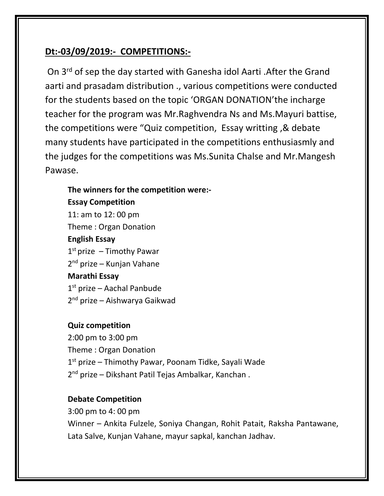### **Dt:-03/09/2019:- COMPETITIONS:-**

On 3rd of sep the day started with Ganesha idol Aarti .After the Grand aarti and prasadam distribution ., various competitions were conducted for the students based on the topic 'ORGAN DONATION'the incharge teacher for the program was Mr.Raghvendra Ns and Ms.Mayuri battise, the competitions were "Quiz competition, Essay writting ,& debate many students have participated in the competitions enthusiasmly and the judges for the competitions was Ms.Sunita Chalse and Mr.Mangesh Pawase.

### **The winners for the competition were:-**

#### **Essay Competition**

11: am to 12: 00 pm Theme : Organ Donation **English Essay** 1<sup>st</sup> prize - Timothy Pawar 2<sup>nd</sup> prize – Kunjan Vahane

#### **Marathi Essay**

1st prize - Aachal Panbude 2<sup>nd</sup> prize – Aishwarya Gaikwad

#### **Quiz competition**

2:00 pm to 3:00 pm Theme : Organ Donation 1<sup>st</sup> prize – Thimothy Pawar, Poonam Tidke, Sayali Wade 2<sup>nd</sup> prize – Dikshant Patil Tejas Ambalkar, Kanchan.

#### **Debate Competition**

3:00 pm to 4: 00 pm Winner – Ankita Fulzele, Soniya Changan, Rohit Patait, Raksha Pantawane, Lata Salve, Kunjan Vahane, mayur sapkal, kanchan Jadhav.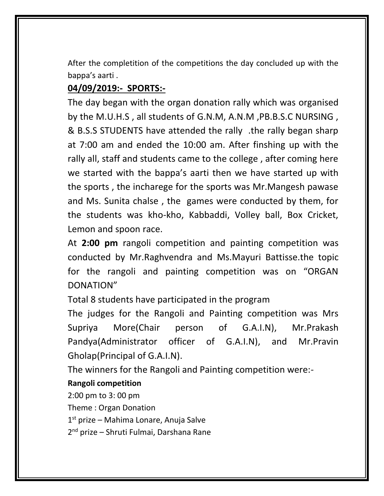After the completition of the competitions the day concluded up with the bappa's aarti .

# **04/09/2019:- SPORTS:-**

The day began with the organ donation rally which was organised by the M.U.H.S , all students of G.N.M, A.N.M ,PB.B.S.C NURSING , & B.S.S STUDENTS have attended the rally .the rally began sharp at 7:00 am and ended the 10:00 am. After finshing up with the rally all, staff and students came to the college , after coming here we started with the bappa's aarti then we have started up with the sports , the incharege for the sports was Mr.Mangesh pawase and Ms. Sunita chalse , the games were conducted by them, for the students was kho-kho, Kabbaddi, Volley ball, Box Cricket, Lemon and spoon race.

At **2:00 pm** rangoli competition and painting competition was conducted by Mr.Raghvendra and Ms.Mayuri Battisse.the topic for the rangoli and painting competition was on "ORGAN DONATION"

Total 8 students have participated in the program

The judges for the Rangoli and Painting competition was Mrs Supriya More(Chair person of G.A.I.N), Mr.Prakash Pandya(Administrator officer of G.A.I.N), and Mr.Pravin Gholap(Principal of G.A.I.N).

The winners for the Rangoli and Painting competition were:-

**Rangoli competition** 

2:00 pm to 3: 00 pm

Theme : Organ Donation

1 st prize – Mahima Lonare, Anuja Salve

2 nd prize – Shruti Fulmai, Darshana Rane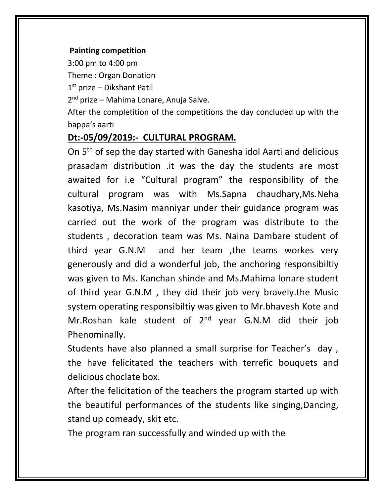### **Painting competition**

3:00 pm to 4:00 pm

Theme : Organ Donation

1 st prize – Dikshant Patil

2 nd prize – Mahima Lonare, Anuja Salve.

After the completition of the competitions the day concluded up with the bappa's aarti

## **Dt:-05/09/2019:- CULTURAL PROGRAM.**

On 5th of sep the day started with Ganesha idol Aarti and delicious prasadam distribution .it was the day the students are most awaited for i.e "Cultural program" the responsibility of the cultural program was with Ms.Sapna chaudhary,Ms.Neha kasotiya, Ms.Nasim manniyar under their guidance program was carried out the work of the program was distribute to the students , decoration team was Ms. Naina Dambare student of third year G.N.M and her team ,the teams workes very generously and did a wonderful job, the anchoring responsibiltiy was given to Ms. Kanchan shinde and Ms.Mahima lonare student of third year G.N.M , they did their job very bravely.the Music system operating responsibiltiy was given to Mr.bhavesh Kote and Mr.Roshan kale student of 2<sup>nd</sup> year G.N.M did their job Phenominally.

Students have also planned a small surprise for Teacher's day , the have felicitated the teachers with terrefic bouquets and delicious choclate box.

After the felicitation of the teachers the program started up with the beautiful performances of the students like singing,Dancing, stand up comeady, skit etc.

The program ran successfully and winded up with the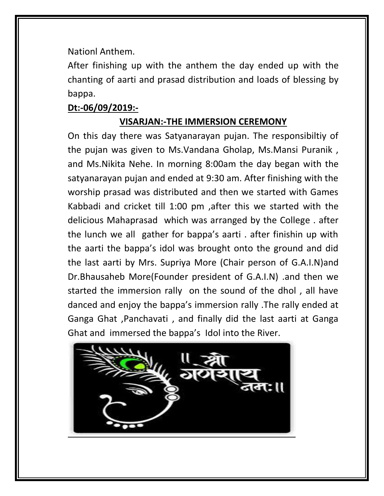Nationl Anthem.

After finishing up with the anthem the day ended up with the chanting of aarti and prasad distribution and loads of blessing by bappa.

## **Dt:-06/09/2019:-**

## **VISARJAN:-THE IMMERSION CEREMONY**

On this day there was Satyanarayan pujan. The responsibiltiy of the pujan was given to Ms.Vandana Gholap, Ms.Mansi Puranik , and Ms.Nikita Nehe. In morning 8:00am the day began with the satyanarayan pujan and ended at 9:30 am. After finishing with the worship prasad was distributed and then we started with Games Kabbadi and cricket till 1:00 pm ,after this we started with the delicious Mahaprasad which was arranged by the College . after the lunch we all gather for bappa's aarti . after finishin up with the aarti the bappa's idol was brought onto the ground and did the last aarti by Mrs. Supriya More (Chair person of G.A.I.N)and Dr.Bhausaheb More(Founder president of G.A.I.N) .and then we started the immersion rally on the sound of the dhol , all have danced and enjoy the bappa's immersion rally .The rally ended at Ganga Ghat ,Panchavati , and finally did the last aarti at Ganga Ghat and immersed the bappa's Idol into the River.